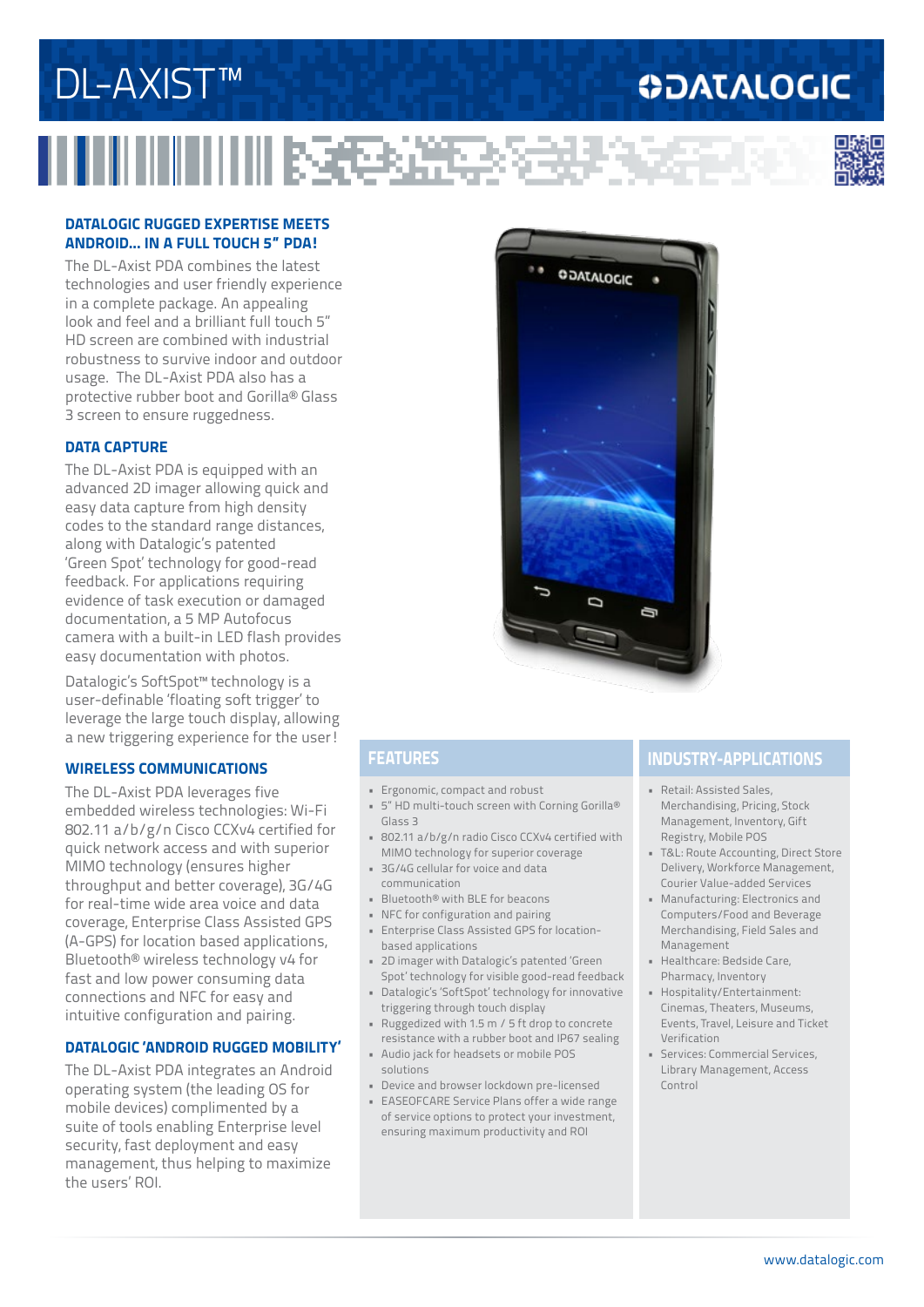### www.datalogic.com

## **DATALOGIC RUGGED EXPERTISE MEETS ANDROID... IN A FULL TOUCH 5" PDA!**

**ITHINININ BSCPARES** 

The DL-Axist PDA combines the latest technologies and user friendly experience in a complete package. An appealing look and feel and a brilliant full touch 5" HD screen are combined with industrial robustness to survive indoor and outdoor usage. The DL-Axist PDA also has a protective rubber boot and Gorilla® Glass 3 screen to ensure ruggedness.

## **DATA CAPTURE**

The DL-Axist PDA is equipped with an advanced 2D imager allowing quick and easy data capture from high density codes to the standard range distances, along with Datalogic's patented 'Green Spot' technology for good-read feedback. For applications requiring evidence of task execution or damaged documentation, a 5 MP Autofocus camera with a built-in LED flash provides easy documentation with photos.

Datalogic's SoftSpot™ technology is a user-definable 'floating soft trigger' to leverage the large touch display, allowing a new triggering experience for the user!

## **WIRELESS COMMUNICATIONS**

The DL-Axist PDA leverages five embedded wireless technologies: Wi-Fi 802.11 a/b/g/n Cisco CCXv4 certified for quick network access and with superior MIMO technology (ensures higher throughput and better coverage), 3G/4G for real-time wide area voice and data coverage, Enterprise Class Assisted GPS (A-GPS) for location based applications, Bluetooth® wireless technology v4 for fast and low power consuming data connections and NFC for easy and intuitive configuration and pairing.

## **DATALOGIC 'ANDROID RUGGED MOBILITY'**

The DL-Axist PDA integrates an Android operating system (the leading OS for mobile devices) complimented by a suite of tools enabling Enterprise level security, fast deployment and easy management, thus helping to maximize the users' ROI.

- Ergonomic, compact and robust
- 5" HD multi-touch screen with Corning Gorilla® Glass 3
- 802.11 a/b/g/n radio Cisco CCXv4 certified with MIMO technology for superior coverage
- 3G/4G cellular for voice and data communication
- Bluetooth® with BLE for beacons
- NFC for configuration and pairing
- Enterprise Class Assisted GPS for locationbased applications
- 2D imager with Datalogic's patented 'Green Spot' technology for visible good-read feedback
- Datalogic's 'SoftSpot' technology for innovative triggering through touch display
- Ruggedized with 1.5 m / 5 ft drop to concrete resistance with a rubber boot and IP67 sealing
- Audio jack for headsets or mobile POS solutions
- Device and browser lockdown pre-licensed
- EASEOFCARE Service Plans offer a wide range of service options to protect your investment, ensuring maximum productivity and ROI

## **FEATURES INDUSTRY-APPLICATIONS**

- Retail: Assisted Sales, Merchandising, Pricing, Stock Management, Inventory, Gift Registry, Mobile POS
- T&L: Route Accounting, Direct Store Delivery, Workforce Management, Courier Value-added Services
- Manufacturing: Electronics and Computers/Food and Beverage Merchandising, Field Sales and Management
- Healthcare: Bedside Care, Pharmacy, Inventory
- Hospitality/Entertainment: Cinemas, Theaters, Museums, Events, Travel, Leisure and Ticket Verification
- Services: Commercial Services, Library Management, Access Control





**ODATALOGIC**